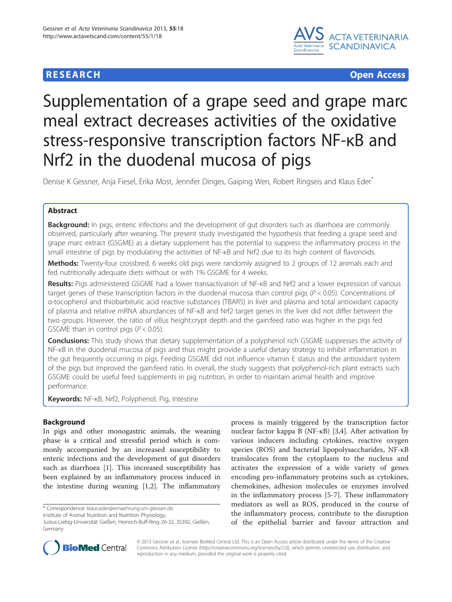# **RESEARCH CHE Open Access**



# Supplementation of a grape seed and grape marc meal extract decreases activities of the oxidative stress-responsive transcription factors NF-κB and Nrf2 in the duodenal mucosa of pigs

Denise K Gessner, Anja Fiesel, Erika Most, Jennifer Dinges, Gaiping Wen, Robert Ringseis and Klaus Eder<sup>\*</sup>

# Abstract

**Background:** In pigs, enteric infections and the development of gut disorders such as diarrhoea are commonly observed, particularly after weaning. The present study investigated the hypothesis that feeding a grape seed and grape marc extract (GSGME) as a dietary supplement has the potential to suppress the inflammatory process in the small intestine of pigs by modulating the activities of NF-κB and Nrf2 due to its high content of flavonoids.

Methods: Twenty-four crossbred, 6 weeks old pigs were randomly assigned to 2 groups of 12 animals each and fed nutritionally adequate diets without or with 1% GSGME for 4 weeks.

Results: Pigs administered GSGME had a lower transactivation of NF-KB and Nrf2 and a lower expression of various target genes of these transcription factors in the duodenal mucosa than control pigs ( $P < 0.05$ ). Concentrations of α-tocopherol and thiobarbituric acid reactive substances (TBARS) in liver and plasma and total antioxidant capacity of plasma and relative mRNA abundances of NF-κB and Nrf2 target genes in the liver did not differ between the two groups. However, the ratio of villus height:crypt depth and the gain:feed ratio was higher in the pigs fed GSGME than in control pigs ( $P < 0.05$ ).

**Conclusions:** This study shows that dietary supplementation of a polyphenol rich GSGME suppresses the activity of NF-κB in the duodenal mucosa of pigs and thus might provide a useful dietary strategy to inhibit inflammation in the gut frequently occurring in pigs. Feeding GSGME did not influence vitamin E status and the antioxidant system of the pigs but improved the gain:feed ratio. In overall, the study suggests that polyphenol-rich plant extracts such GSGME could be useful feed supplements in pig nutrition, in order to maintain animal health and improve performance.

Keywords: NF-KB, Nrf2, Polyphenol, Pig, Intestine

# Background

In pigs and other monogastric animals, the weaning phase is a critical and stressful period which is commonly accompanied by an increased susceptibility to enteric infections and the development of gut disorders such as diarrhoea [\[1](#page-8-0)]. This increased susceptibility has been explained by an inflammatory process induced in the intestine during weaning [[1,2\]](#page-8-0). The inflammatory

\* Correspondence: [klaus.eder@ernaehrung.uni-giessen.de](mailto:klaus.eder@ernaehrung.uni-giessen.de) Institute of Animal Nutrition and Nutrition Physiology,

process is mainly triggered by the transcription factor nuclear factor kappa B (NF-κB) [\[3,4](#page-8-0)]. After activation by various inducers including cytokines, reactive oxygen species (ROS) and bacterial lipopolysaccharides, NF-κB translocates from the cytoplasm to the nucleus and activates the expression of a wide variety of genes encoding pro-inflammatory proteins such as cytokines, chemokines, adhesion molecules or enzymes involved in the inflammatory process [\[5](#page-8-0)-[7\]](#page-8-0). These inflammatory mediators as well as ROS, produced in the course of the inflammatory process, contribute to the disruption of the epithelial barrier and favour attraction and



© 2013 Gessner et al.; licensee BioMed Central Ltd. This is an Open Access article distributed under the terms of the Creative Commons Attribution License [\(http://creativecommons.org/licenses/by/2.0\)](http://creativecommons.org/licenses/by/2.0), which permits unrestricted use, distribution, and reproduction in any medium, provided the original work is properly cited.

Justus-Liebig-Universität Gießen, Heinrich-Buff-Ring 26-32, 35392, Gießen, Germany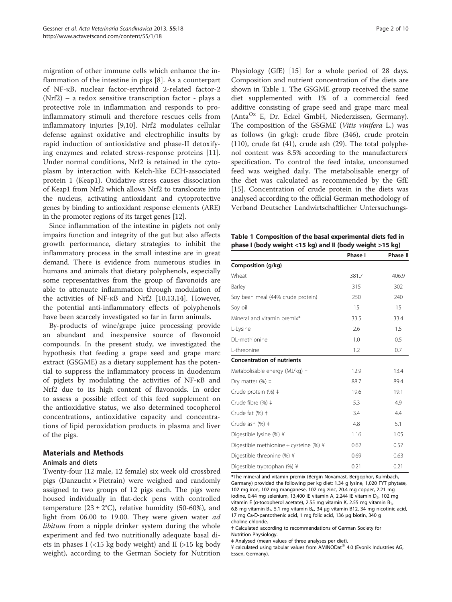migration of other immune cells which enhance the inflammation of the intestine in pigs [[8\]](#page-8-0). As a counterpart of NF-κB, nuclear factor-erythroid 2-related factor-2 (Nrf2) – a redox sensitive transcription factor - plays a protective role in inflammation and responds to proinflammatory stimuli and therefore rescues cells from inflammatory injuries [\[9,10](#page-8-0)]. Nrf2 modulates cellular defense against oxidative and electrophilic insults by rapid induction of antioxidative and phase-II detoxifying enzymes and related stress-response proteins [[11](#page-8-0)]. Under normal conditions, Nrf2 is retained in the cytoplasm by interaction with Kelch-like ECH-associated protein 1 (Keap1). Oxidative stress causes dissociation of Keap1 from Nrf2 which allows Nrf2 to translocate into the nucleus, activating antioxidant and cytoprotective genes by binding to antioxidant response elements (ARE) in the promoter regions of its target genes [[12](#page-8-0)].

Since inflammation of the intestine in piglets not only impairs function and integrity of the gut but also affects growth performance, dietary strategies to inhibit the inflammatory process in the small intestine are in great demand. There is evidence from numerous studies in humans and animals that dietary polyphenols, especially some representatives from the group of flavonoids are able to attenuate inflammation through modulation of the activities of NF-κB and Nrf2 [\[10,13,14\]](#page-8-0). However, the potential anti-inflammatory effects of polyphenols have been scarcely investigated so far in farm animals.

By-products of wine/grape juice processing provide an abundant and inexpensive source of flavonoid compounds. In the present study, we investigated the hypothesis that feeding a grape seed and grape marc extract (GSGME) as a dietary supplement has the potential to suppress the inflammatory process in duodenum of piglets by modulating the activities of NF-κB and Nrf2 due to its high content of flavonoids. In order to assess a possible effect of this feed supplement on the antioxidative status, we also determined tocopherol concentrations, antioxidative capacity and concentrations of lipid peroxidation products in plasma and liver of the pigs.

#### Materials and Methods

#### Animals and diets

Twenty-four (12 male, 12 female) six week old crossbred pigs (Danzucht × Pietrain) were weighed and randomly assigned to two groups of 12 pigs each. The pigs were housed individually in flat-deck pens with controlled temperature  $(23 \pm 2^{\circ}\text{C})$ , relative humidity (50-60%), and light from 06.00 to 19.00. They were given water ad *libitum* from a nipple drinker system during the whole experiment and fed two nutritionally adequate basal diets in phases I (<15 kg body weight) and II (>15 kg body weight), according to the German Society for Nutrition Physiology (GfE) [\[15\]](#page-8-0) for a whole period of 28 days. Composition and nutrient concentration of the diets are shown in Table 1. The GSGME group received the same diet supplemented with 1% of a commercial feed additive consisting of grape seed and grape marc meal  $(Anta<sup>Ox</sup> E, Dr. Eckel GmbH, Niederzissen, Germany).$ The composition of the GSGME (Vitis vinifera L.) was as follows (in g/kg): crude fibre (346), crude protein (110), crude fat (41), crude ash (29). The total polyphenol content was 8.5% according to the manufacturers' specification. To control the feed intake, unconsumed feed was weighed daily. The metabolisable energy of the diet was calculated as recommended by the GfE [[15\]](#page-8-0). Concentration of crude protein in the diets was analysed according to the official German methodology of Verband Deutscher Landwirtschaftlicher Untersuchungs-

Table 1 Composition of the basal experimental diets fed in phase I (body weight <15 kg) and II (body weight >15 kg)

| $\frac{1}{2}$                          |         |                 |  |
|----------------------------------------|---------|-----------------|--|
|                                        | Phase I | <b>Phase II</b> |  |
| Composition (g/kg)                     |         |                 |  |
| Wheat                                  | 381.7   | 406.9           |  |
| Barley                                 | 315     | 302             |  |
| Soy bean meal (44% crude protein)      | 250     | 240             |  |
| Soy oil                                | 15      | 15              |  |
| Mineral and vitamin premix*            | 33.5    | 33.4            |  |
| L-Lysine                               | 2.6     | 1.5             |  |
| DL-methionine                          | 1.0     | 0.5             |  |
| L-threonine                            | 1.2     | 0.7             |  |
| <b>Concentration of nutrients</b>      |         |                 |  |
| Metabolisable energy (MJ/kg) †         | 12.9    | 13.4            |  |
| Dry matter (%) ‡                       | 88.7    | 89.4            |  |
| Crude protein (%) ‡                    | 19.6    | 19.1            |  |
| Crude fibre (%) ‡                      | 5.3     | 4.9             |  |
| Crude fat $(%)$ $\ddagger$             | 3.4     | 4.4             |  |
| Crude ash (%) ‡                        | 4.8     | 5.1             |  |
| Digestible lysine (%) ¥                | 1.16    | 1.05            |  |
| Digestible methionine + cysteine (%) ¥ | 0.62    | 0.57            |  |
| Digestible threonine (%) ¥             | 0.69    | 0.63            |  |
| Digestible tryptophan (%) ¥            | 0.21    | 0.21            |  |

\*The mineral and vitamin premix (Bergin Novamast, Bergophor, Kulmbach, Germany) provided the following per kg diet: 1.34 g lysine, 1,020 FYT phytase, 102 mg iron, 102 mg manganese, 102 mg zinc, 20.4 mg copper, 2.21 mg iodine, 0.44 mg selenium, 13,400 IE vitamin A, 2,244 IE vitamin  $D_3$ , 102 mg vitamin E (α-tocopherol acetate), 2.55 mg vitamin K, 2.55 mg vitamin B<sub>1</sub> 6.8 mg vitamin B<sub>2</sub>, 5.1 mg vitamin B<sub>6</sub>, 34 μg vitamin B12, 34 mg nicotinic acid, 17 mg Ca-D-pantothenic acid, 1 mg folic acid, 136 μg biotin, 340 g choline chloride.

† Calculated according to recommendations of German Society for Nutrition Physiology.

‡ Analysed (mean values of three analyses per diet).

¥ calculated using tabular values from AMINODat<sup>®</sup> 4.0 (Evonik Industries AG, Essen, Germany).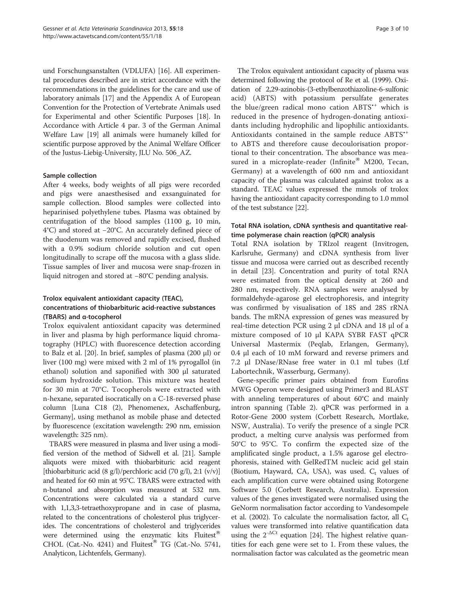und Forschungsanstalten (VDLUFA) [\[16\]](#page-8-0). All experimental procedures described are in strict accordance with the recommendations in the guidelines for the care and use of laboratory animals [\[17\]](#page-8-0) and the Appendix A of European Convention for the Protection of Vertebrate Animals used for Experimental and other Scientific Purposes [\[18\]](#page-9-0). In Accordance with Article 4 par. 3 of the German Animal Welfare Law [[19](#page-9-0)] all animals were humanely killed for scientific purpose approved by the Animal Welfare Officer of the Justus-Liebig-University, JLU No. 506\_AZ.

#### Sample collection

After 4 weeks, body weights of all pigs were recorded and pigs were anaesthesised and exsanguinated for sample collection. Blood samples were collected into heparinised polyethylene tubes. Plasma was obtained by centrifugation of the blood samples (1100 g, 10 min, 4°C) and stored at −20°C. An accurately defined piece of the duodenum was removed and rapidly excised, flushed with a 0.9% sodium chloride solution and cut open longitudinally to scrape off the mucosa with a glass slide. Tissue samples of liver and mucosa were snap-frozen in liquid nitrogen and stored at −80°C pending analysis.

# Trolox equivalent antioxidant capacity (TEAC), concentrations of thiobarbituric acid-reactive substances (TBARS) and α-tocopherol

Trolox equivalent antioxidant capacity was determined in liver and plasma by high performance liquid chromatography (HPLC) with fluorescence detection according to Balz et al. [\[20](#page-9-0)]. In brief, samples of plasma (200 μl) or liver (100 mg) were mixed with 2 ml of 1% pyrogallol (in ethanol) solution and saponified with 300 μl saturated sodium hydroxide solution. This mixture was heated for 30 min at 70°C. Tocopherols were extracted with n-hexane, separated isocratically on a C-18-reversed phase column [Luna C18 (2), Phenomenex, Aschaffenburg, Germany], using methanol as mobile phase and detected by fluorescence (excitation wavelength: 290 nm, emission wavelength: 325 nm).

TBARS were measured in plasma and liver using a modified version of the method of Sidwell et al. [\[21](#page-9-0)]. Sample aliquots were mixed with thiobarbituric acid reagent [thiobarbituric acid  $(8 \text{ g/l})$ /perchloric acid  $(70 \text{ g/l})$ , 2:1  $(v/v)$ ] and heated for 60 min at 95°C. TBARS were extracted with n-butanol and absorption was measured at 532 nm. Concentrations were calculated via a standard curve with 1,1,3,3-tetraethoxypropane and in case of plasma, related to the concentrations of cholesterol plus triglycerides. The concentrations of cholesterol and triglycerides were determined using the enzymatic kits Fluitest<sup>®</sup> CHOL (Cat.-No. 4241) and Fluitest<sup>®</sup> TG (Cat.-No. 5741, Analyticon, Lichtenfels, Germany).

The Trolox equivalent antioxidant capacity of plasma was determined following the protocol of Re et al. (1999). Oxidation of 2,29-azinobis-(3-ethylbenzothiazoline-6-sulfonic acid) (ABTS) with potassium persulfate generates the blue/green radical mono cation ABTS<sup>\*\*</sup> which is reduced in the presence of hydrogen-donating antioxidants including hydrophilic and lipophilic antioxidants. Antioxidants contained in the sample reduce ABTS<sup>\*+</sup> to ABTS and therefore cause decoulorisation proportional to their concentration. The absorbance was measured in a microplate-reader (Infinite<sup>®</sup> M200, Tecan, Germany) at a wavelength of 600 nm and antioxidant capacity of the plasma was calculated against trolox as a standard. TEAC values expressed the mmols of trolox having the antioxidant capacity corresponding to 1.0 mmol of the test substance [\[22\]](#page-9-0).

#### Total RNA isolation, cDNA synthesis and quantitative realtime polymerase chain reaction (qPCR) analysis

Total RNA isolation by TRIzol reagent (Invitrogen, Karlsruhe, Germany) and cDNA synthesis from liver tissue and mucosa were carried out as described recently in detail [\[23\]](#page-9-0). Concentration and purity of total RNA were estimated from the optical density at 260 and 280 nm, respectively. RNA samples were analysed by formaldehyde-agarose gel electrophoresis, and integrity was confirmed by visualisation of 18S and 28S rRNA bands. The mRNA expression of genes was measured by real-time detection PCR using 2 μl cDNA and 18 μl of a mixture composed of 10 μl KAPA SYBR FAST qPCR Universal Mastermix (Peqlab, Erlangen, Germany), 0.4 μl each of 10 mM forward and reverse primers and 7.2 μl DNase/RNase free water in 0.1 ml tubes (Ltf Labortechnik, Wasserburg, Germany).

Gene-specific primer pairs obtained from Eurofins MWG Operon were designed using Primer3 and BLAST with anneling temperatures of about 60°C and mainly intron spanning (Table [2](#page-3-0)). qPCR was performed in a Rotor-Gene 2000 system (Corbett Research, Mortlake, NSW, Australia). To verify the presence of a single PCR product, a melting curve analysis was performed from 50°C to 95°C. To confirm the expected size of the amplificated single product, a 1.5% agarose gel electrophoresis, stained with GelRedTM nucleic acid gel stain (Biotium, Hayward, CA, USA), was used.  $C_t$  values of each amplification curve were obtained using Rotorgene Software 5.0 (Corbett Research, Australia). Expression values of the genes investigated were normalised using the GeNorm normalisation factor according to Vandesompele et al. (2002). To calculate the normalisation factor, all  $C_t$ values were transformed into relative quantification data using the  $2^{-\Delta Ct}$  equation [\[24](#page-9-0)]. The highest relative quantities for each gene were set to 1. From these values, the normalisation factor was calculated as the geometric mean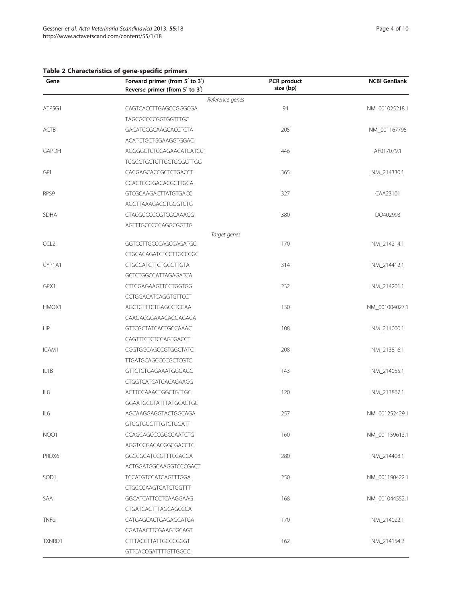# <span id="page-3-0"></span>Table 2 Characteristics of gene-specific primers

| Gene              | Forward primer (from 5' to 3')<br>Reverse primer (from 5' to 3') | PCR product<br>size (bp) | <b>NCBI GenBank</b> |
|-------------------|------------------------------------------------------------------|--------------------------|---------------------|
|                   | Reference genes                                                  |                          |                     |
| ATP5G1            | CAGTCACCTTGAGCCGGGCGA                                            | 94                       | NM_001025218.1      |
|                   | TAGCGCCCCGGTGGTTTGC                                              |                          |                     |
| ACTB              | GACATCCGCAAGCACCTCTA                                             | 205                      | NM_001167795        |
|                   | ACATCTGCTGGAAGGTGGAC                                             |                          |                     |
| GAPDH             | AGGGGCTCTCCAGAACATCATCC                                          | 446                      | AF017079.1          |
|                   | <b>TCGCGTGCTCTTGCTGGGGTTGG</b>                                   |                          |                     |
| GPI               | CACGAGCACCGCTCTGACCT                                             | 365                      | NM_214330.1         |
|                   | CCACTCCGGACACGCTTGCA                                             |                          |                     |
| RPS9              | <b>GTCGCAAGACTTATGTGACC</b>                                      | 327                      | CAA23101            |
|                   | AGCTTAAAGACCTGGGTCTG                                             |                          |                     |
| SDHA              | CTACGCCCCCGTCGCAAAGG                                             | 380                      | DQ402993            |
|                   | AGTTTGCCCCCAGGCGGTTG                                             |                          |                     |
|                   | Target genes                                                     |                          |                     |
| CCL <sub>2</sub>  | GGTCCTTGCCCAGCCAGATGC                                            | 170                      | NM_214214.1         |
|                   | CTGCACAGATCTCCTTGCCCGC                                           |                          |                     |
| CYP1A1            | <b>CTGCCATCTTCTGCCTTGTA</b>                                      | 314                      | NM_214412.1         |
|                   | GCTCTGGCCATTAGAGATCA                                             |                          |                     |
| GPX1              | <b>CTTCGAGAAGTTCCTGGTGG</b>                                      | 232                      | NM_214201.1         |
|                   | CCTGGACATCAGGTGTTCCT                                             |                          |                     |
| HMOX1             | AGCTGTTTCTGAGCCTCCAA                                             | 130                      | NM_001004027.1      |
|                   | CAAGACGGAAACACGAGACA                                             |                          |                     |
| HP                | <b>GTTCGCTATCACTGCCAAAC</b>                                      | 108                      | NM_214000.1         |
|                   | CAGTTTCTCTCCAGTGACCT                                             |                          |                     |
| ICAM1             | CGGTGGCAGCCGTGGCTATC                                             | 208                      | NM_213816.1         |
|                   | <b>TTGATGCAGCCCCGCTCGTC</b>                                      |                          |                     |
| IL <sub>1</sub> B | <b>GTTCTCTGAGAAATGGGAGC</b>                                      | 143                      | NM_214055.1         |
|                   | CTGGTCATCATCACAGAAGG                                             |                          |                     |
| IL8               | <b>ACTTCCAAACTGGCTGTTGC</b>                                      | 120                      | NM_213867.1         |
|                   | GGAATGCGTATTTATGCACTGG                                           |                          |                     |
| IL6               | AGCAAGGAGGTACTGGCAGA                                             | 257                      | NM_001252429.1      |
|                   | <b>GTGGTGGCTTTGTCTGGATT</b>                                      |                          |                     |
| NQO1              | CCAGCAGCCCGGCCAATCTG                                             | 160                      | NM_001159613.1      |
|                   | AGGTCCGACACGGCGACCTC                                             |                          |                     |
| PRDX6             | GGCCGCATCCGTTTCCACGA                                             | 280                      | NM_214408.1         |
|                   | ACTGGATGGCAAGGTCCCGACT                                           |                          |                     |
| SOD <sub>1</sub>  | <b>TCCATGTCCATCAGTTTGGA</b>                                      | 250                      | NM_001190422.1      |
|                   | <b>CTGCCCAAGTCATCTGGTTT</b>                                      |                          |                     |
| SAA               | GGCATCATTCCTCAAGGAAG                                             | 168                      | NM 001044552.1      |
|                   | CTGATCACTTTAGCAGCCCA                                             |                          |                     |
| TNFa              | CATGAGCACTGAGAGCATGA                                             | 170                      | NM_214022.1         |
|                   | CGATAACTTCGAAGTGCAGT                                             |                          |                     |
| TXNRD1            | <b>CTTTACCTTATTGCCCGGGT</b>                                      | 162                      | NM_214154.2         |
|                   | <b>GTTCACCGATTTTGTTGGCC</b>                                      |                          |                     |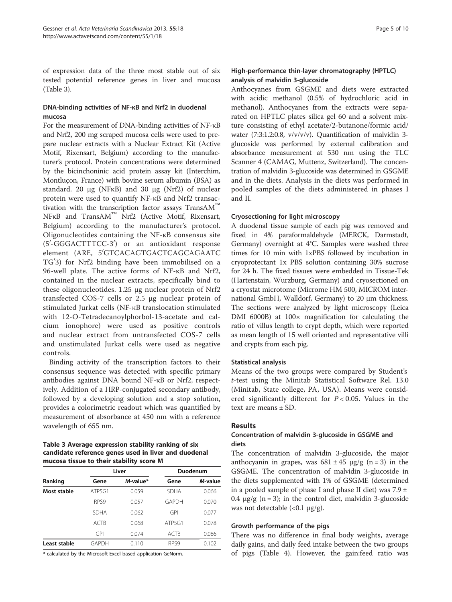of expression data of the three most stable out of six tested potential reference genes in liver and mucosa (Table 3).

## DNA-binding activities of NF-κB and Nrf2 in duodenal mucosa

For the measurement of DNA-binding activities of NF-κB and Nrf2, 200 mg scraped mucosa cells were used to prepare nuclear extracts with a Nuclear Extract Kit (Active Motif, Rixensart, Belgium) according to the manufacturer's protocol. Protein concentrations were determined by the bicinchoninic acid protein assay kit (Interchim, Montluçon, France) with bovine serum albumin (BSA) as standard. 20 μg (NFκB) and 30 μg (Nrf2) of nuclear protein were used to quantify NF-κB and Nrf2 transactivation with the transcription factor assays TransAM™ NFκB and TransAM™ Nrf2 (Active Motif, Rixensart, Belgium) according to the manufacturer's protocol. Oligonucleotides containing the NF-κB consensus site (5'-GGGACTTTCC-3') or an antioxidant response element (ARE, 5'GTCACAGTGACTCAGCAGAATC TG'3) for Nrf2 binding have been immobilised on a 96-well plate. The active forms of NF-κB and Nrf2, contained in the nuclear extracts, specifically bind to these oligonucleotides. 1.25 μg nuclear protein of Nrf2 transfected COS-7 cells or 2.5 μg nuclear protein of stimulated Jurkat cells (NF-κB translocation stimulated with 12-O-Tetradecanoylphorbol-13-acetate and calcium ionophore) were used as positive controls and nuclear extract from untransfected COS-7 cells and unstimulated Jurkat cells were used as negative controls.

Binding activity of the transcription factors to their consensus sequence was detected with specific primary antibodies against DNA bound NF-κB or Nrf2, respectively. Addition of a HRP-conjugated secondary antibody, followed by a developing solution and a stop solution, provides a colorimetric readout which was quantified by measurement of absorbance at 450 nm with a reference wavelength of 655 nm.

#### Table 3 Average expression stability ranking of six candidate reference genes used in liver and duodenal mucosa tissue to their stability score M

|              | Liver       |          |             | Duodenum |
|--------------|-------------|----------|-------------|----------|
| Ranking      | Gene        | M-value* | Gene        | M-value  |
| Most stable  | ATP5G1      | 0.059    | <b>SDHA</b> | 0.066    |
|              | RPS9        | 0.057    | GAPDH       | 0.070    |
|              | <b>SDHA</b> | 0.062    | <b>GPI</b>  | 0.077    |
|              | <b>ACTB</b> | 0.068    | ATP5G1      | 0.078    |
|              | <b>GPI</b>  | 0.074    | ACTB        | 0.086    |
| Least stable | GAPDH       | 0.110    | RPS9        | 0.102    |

\* calculated by the Microsoft Excel-based application GeNorm.

# High-performance thin-layer chromatography (HPTLC) analysis of malvidin 3-glucoside

Anthocyanes from GSGME and diets were extracted with acidic methanol (0.5% of hydrochloric acid in methanol). Anthocyanes from the extracts were separated on HPTLC plates silica gel 60 and a solvent mixture consisting of ethyl acetate/2-butanone/formic acid/ water (7:3:1.2:0.8, v/v/v/v). Quantification of malvidin 3 glucoside was performed by external calibration and absorbance measurement at 530 nm using the TLC Scanner 4 (CAMAG, Muttenz, Switzerland). The concentration of malvidin 3-glucoside was determined in GSGME and in the diets. Analysis in the diets was performed in pooled samples of the diets administered in phases I and II.

## Cryosectioning for light microscopy

A duodenal tissue sample of each pig was removed and fixed in 4% paraformaldehyde (MERCK, Darmstadt, Germany) overnight at 4°C. Samples were washed three times for 10 min with 1xPBS followed by incubation in cryoprotectant 1x PBS solution containing 30% sucrose for 24 h. The fixed tissues were embedded in Tissue-Tek (Hartenstain, Wurzburg, Germany) and cryosectioned on a cryostat microtome (Microme HM 500, MICROM international GmbH, Walldorf, Germany) to 20 μm thickness. The sections were analyzed by light microscopy (Leica DMI 6000B) at 100 $\times$  magnification for calculating the ratio of villus length to crypt depth, which were reported as mean length of 15 well oriented and representative villi and crypts from each pig.

#### Statistical analysis

Means of the two groups were compared by Student's t-test using the Minitab Statistical Software Rel. 13.0 (Minitab, State college, PA, USA). Means were considered significantly different for  $P < 0.05$ . Values in the text are means ± SD.

# Results

## Concentration of malvidin 3-glucoside in GSGME and diets

The concentration of malvidin 3-glucoside, the major anthocyanin in grapes, was  $681 \pm 45$   $\mu$ g/g (n = 3) in the GSGME. The concentration of malvidin 3-glucoside in the diets supplemented with 1% of GSGME (determined in a pooled sample of phase I and phase II diet) was 7.9  $\pm$ 0.4  $\mu$ g/g (n = 3); in the control diet, malvidin 3-glucoside was not detectable  $(<0.1 \mu g/g).$ 

#### Growth performance of the pigs

There was no difference in final body weights, average daily gains, and daily feed intake between the two groups of pigs (Table [4](#page-5-0)). However, the gain:feed ratio was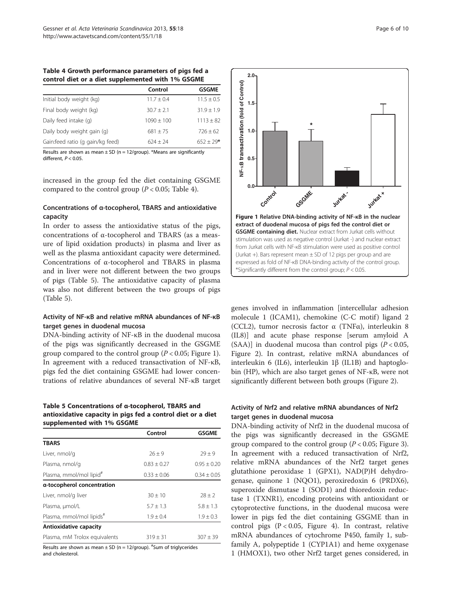<span id="page-5-0"></span>

| Table 4 Growth performance parameters of pigs fed a |  |  |
|-----------------------------------------------------|--|--|
| control diet or a diet supplemented with 1% GSGME   |  |  |

|                                  | Control      | <b>GSGME</b>   |
|----------------------------------|--------------|----------------|
| Initial body weight (kg)         | $11.7 + 0.4$ | $11.5 \pm 0.5$ |
| Final body weight (kg)           | $30.7 + 2.1$ | $31.9 + 1.9$   |
| Daily feed intake (q)            | $1090 + 100$ | $1113 \pm 82$  |
| Daily body weight gain (g)       | $681 + 75$   | $726 + 62$     |
| Gain:feed ratio (q gain/kg feed) | $624 + 24$   | $652 + 29*$    |

Results are shown as mean  $\pm$  SD (n = 12/group). \*Means are significantly different,  $P < 0.05$ .

increased in the group fed the diet containing GSGME compared to the control group  $(P < 0.05$ ; Table 4).

#### Concentrations of α-tocopherol, TBARS and antioxidative capacity

In order to assess the antioxidative status of the pigs, concentrations of α-tocopherol and TBARS (as a measure of lipid oxidation products) in plasma and liver as well as the plasma antioxidant capacity were determined. Concentrations of α-tocopherol and TBARS in plasma and in liver were not different between the two groups of pigs (Table 5). The antioxidative capacity of plasma was also not different between the two groups of pigs (Table 5).

#### Activity of NF-κB and relative mRNA abundances of NF-κB target genes in duodenal mucosa

DNA-binding activity of NF-κB in the duodenal mucosa of the pigs was significantly decreased in the GSGME group compared to the control group ( $P < 0.05$ ; Figure 1). In agreement with a reduced transactivation of NF-κB, pigs fed the diet containing GSGME had lower concentrations of relative abundances of several NF-κB target

#### Table 5 Concentrations of α-tocopherol, TBARS and antioxidative capacity in pigs fed a control diet or a diet supplemented with 1% GSGME

|                                     | Control         | <b>GSGME</b>    |
|-------------------------------------|-----------------|-----------------|
| <b>TBARS</b>                        |                 |                 |
| Liver, nmol/g                       | $26 + 9$        | $79 + 9$        |
| Plasma, nmol/g                      | $0.83 \pm 0.27$ | $0.95 \pm 0.20$ |
| Plasma, mmol/mol lipid <sup>#</sup> | $0.33 \pm 0.06$ | $0.34 \pm 0.05$ |
| a-tocopherol concentration          |                 |                 |
| Liver, nmol/g liver                 | $30 + 10$       | $28 + 2$        |
| Plasma, µmol/L                      | $5.7 + 1.3$     | $5.8 \pm 1.3$   |
| Plasma, mmol/mol lipids#            | $1.9 \pm 0.4$   | $1.9 \pm 0.3$   |
| Antioxidative capacity              |                 |                 |
| Plasma, mM Trolox equivalents       | $319 \pm 31$    | $307 \pm 39$    |

Results are shown as mean  $\pm$  SD (n = 12/group).  $^\#$ Sum of triglycerides and cholesterol.



genes involved in inflammation [intercellular adhesion molecule 1 (ICAM1), chemokine (C-C motif) ligand 2 (CCL2), tumor necrosis factor α (TNFα), interleukin 8 (IL8)] and acute phase response [serum amyloid A (SAA)] in duodenal mucosa than control pigs  $(P < 0.05$ , Figure [2](#page-6-0)). In contrast, relative mRNA abundances of interleukin 6 (IL6), interleukin 1β (IL1B) and haptoglobin (HP), which are also target genes of NF-κB, were not significantly different between both groups (Figure [2\)](#page-6-0).

## Activity of Nrf2 and relative mRNA abundances of Nrf2 target genes in duodenal mucosa

DNA-binding activity of Nrf2 in the duodenal mucosa of the pigs was significantly decreased in the GSGME group compared to the control group ( $P < 0.05$ ; Figure [3](#page-6-0)). In agreement with a reduced transactivation of Nrf2, relative mRNA abundances of the Nrf2 target genes glutathione peroxidase 1 (GPX1), NAD(P)H dehydrogenase, quinone 1 (NQO1), peroxiredoxin 6 (PRDX6), superoxide dismutase 1 (SOD1) and thioredoxin reductase 1 (TXNR1), encoding proteins with antioxidant or cytoprotective functions, in the duodenal mucosa were lower in pigs fed the diet containing GSGME than in control pigs (P < 0.05, Figure [4\)](#page-6-0). In contrast, relative mRNA abundances of cytochrome P450, family 1, subfamily A, polypeptide 1 (CYP1A1) and heme oxygenase 1 (HMOX1), two other Nrf2 target genes considered, in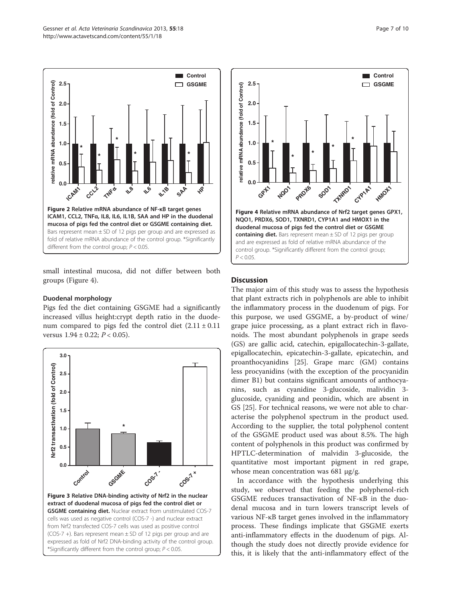<span id="page-6-0"></span>

small intestinal mucosa, did not differ between both groups (Figure 4).

#### Duodenal morphology

Pigs fed the diet containing GSGME had a significantly increased villus height:crypt depth ratio in the duodenum compared to pigs fed the control diet  $(2.11 \pm 0.11)$ versus  $1.94 \pm 0.22$ ;  $P < 0.05$ ).





#### **Discussion**

The major aim of this study was to assess the hypothesis that plant extracts rich in polyphenols are able to inhibit the inflammatory process in the duodenum of pigs. For this purpose, we used GSGME, a by-product of wine/ grape juice processing, as a plant extract rich in flavonoids. The most abundant polyphenols in grape seeds (GS) are gallic acid, catechin, epigallocatechin-3-gallate, epigallocatechin, epicatechin-3-gallate, epicatechin, and proanthocyanidins [[25\]](#page-9-0). Grape marc (GM) contains less procyanidins (with the exception of the procyanidin dimer B1) but contains significant amounts of anthocyanins, such as cyanidine 3-glucoside, malividin 3 glucoside, cyaniding and peonidin, which are absent in GS [\[25\]](#page-9-0). For technical reasons, we were not able to characterise the polyphenol spectrum in the product used. According to the supplier, the total polyphenol content of the GSGME product used was about 8.5%. The high content of polyphenols in this product was confirmed by HPTLC-determination of malvidin 3-glucoside, the quantitative most important pigment in red grape, whose mean concentration was 681 μg/g.

In accordance with the hypothesis underlying this study, we observed that feeding the polyphenol-rich GSGME reduces transactivation of NF-κB in the duodenal mucosa and in turn lowers transcript levels of various NF-κB target genes involved in the inflammatory process. These findings implicate that GSGME exerts anti-inflammatory effects in the duodenum of pigs. Although the study does not directly provide evidence for this, it is likely that the anti-inflammatory effect of the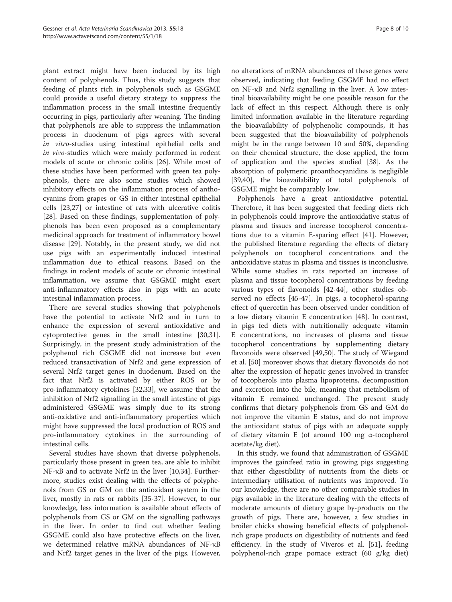plant extract might have been induced by its high content of polyphenols. Thus, this study suggests that feeding of plants rich in polyphenols such as GSGME could provide a useful dietary strategy to suppress the inflammation process in the small intestine frequently occurring in pigs, particularly after weaning. The finding that polyphenols are able to suppress the inflammation process in duodenum of pigs agrees with several in vitro-studies using intestinal epithelial cells and in vivo-studies which were mainly performed in rodent models of acute or chronic colitis [\[26\]](#page-9-0). While most of these studies have been performed with green tea polyphenols, there are also some studies which showed inhibitory effects on the inflammation process of anthocyanins from grapes or GS in either intestinal epithelial cells [[23](#page-9-0),[27](#page-9-0)] or intestine of rats with ulcerative colitis [[28\]](#page-9-0). Based on these findings, supplementation of polyphenols has been even proposed as a complementary medicinal approach for treatment of inflammatory bowel disease [[29\]](#page-9-0). Notably, in the present study, we did not use pigs with an experimentally induced intestinal inflammation due to ethical reasons. Based on the findings in rodent models of acute or chronic intestinal inflammation, we assume that GSGME might exert anti-inflammatory effects also in pigs with an acute intestinal inflammation process.

There are several studies showing that polyphenols have the potential to activate Nrf2 and in turn to enhance the expression of several antioxidative and cytoprotective genes in the small intestine [\[30,31](#page-9-0)]. Surprisingly, in the present study administration of the polyphenol rich GSGME did not increase but even reduced transactivation of Nrf2 and gene expression of several Nrf2 target genes in duodenum. Based on the fact that Nrf2 is activated by either ROS or by pro-inflammatory cytokines [\[32,33\]](#page-9-0), we assume that the inhibition of Nrf2 signalling in the small intestine of pigs administered GSGME was simply due to its strong anti-oxidative and anti-inflammatory properties which might have suppressed the local production of ROS and pro-inflammatory cytokines in the surrounding of intestinal cells.

Several studies have shown that diverse polyphenols, particularly those present in green tea, are able to inhibit NF-κB and to activate Nrf2 in the liver [[10,](#page-8-0)[34\]](#page-9-0). Furthermore, studies exist dealing with the effects of polyphenols from GS or GM on the antioxidant system in the liver, mostly in rats or rabbits [[35-37\]](#page-9-0). However, to our knowledge, less information is available about effects of polyphenols from GS or GM on the signalling pathways in the liver. In order to find out whether feeding GSGME could also have protective effects on the liver, we determined relative mRNA abundances of NF-κB and Nrf2 target genes in the liver of the pigs. However,

no alterations of mRNA abundances of these genes were observed, indicating that feeding GSGME had no effect on NF-κB and Nrf2 signalling in the liver. A low intestinal bioavailability might be one possible reason for the lack of effect in this respect. Although there is only limited information available in the literature regarding the bioavailability of polyphenolic compounds, it has been suggested that the bioavailability of polyphenols might be in the range between 10 and 50%, depending on their chemical structure, the dose applied, the form of application and the species studied [[38](#page-9-0)]. As the absorption of polymeric proanthocyanidins is negligible [[39,40\]](#page-9-0), the bioavailability of total polyphenols of GSGME might be comparably low.

Polyphenols have a great antioxidative potential. Therefore, it has been suggested that feeding diets rich in polyphenols could improve the antioxidative status of plasma and tissues and increase tocopherol concentrations due to a vitamin E-sparing effect [[41](#page-9-0)]. However, the published literature regarding the effects of dietary polyphenols on tocopherol concentrations and the antioxidative status in plasma and tissues is inconclusive. While some studies in rats reported an increase of plasma and tissue tocopherol concentrations by feeding various types of flavonoids [[42-44\]](#page-9-0), other studies observed no effects [[45-47\]](#page-9-0). In pigs, a tocopherol-sparing effect of quercetin has been observed under condition of a low dietary vitamin E concentration [\[48](#page-9-0)]. In contrast, in pigs fed diets with nutritionally adequate vitamin E concentrations, no increases of plasma and tissue tocopherol concentrations by supplementing dietary flavonoids were observed [\[49,50](#page-9-0)]. The study of Wiegand et al. [[50\]](#page-9-0) moreover shows that dietary flavonoids do not alter the expression of hepatic genes involved in transfer of tocopherols into plasma lipoproteins, decomposition and excretion into the bile, meaning that metabolism of vitamin E remained unchanged. The present study confirms that dietary polyphenols from GS and GM do not improve the vitamin E status, and do not improve the antioxidant status of pigs with an adequate supply of dietary vitamin E (of around 100 mg α-tocopherol acetate/kg diet).

In this study, we found that administration of GSGME improves the gain:feed ratio in growing pigs suggesting that either digestibility of nutrients from the diets or intermediary utilisation of nutrients was improved. To our knowledge, there are no other comparable studies in pigs available in the literature dealing with the effects of moderate amounts of dietary grape by-products on the growth of pigs. There are, however, a few studies in broiler chicks showing beneficial effects of polyphenolrich grape products on digestibility of nutrients and feed efficiency. In the study of Viveros et al. [[51\]](#page-9-0), feeding polyphenol-rich grape pomace extract (60 g/kg diet)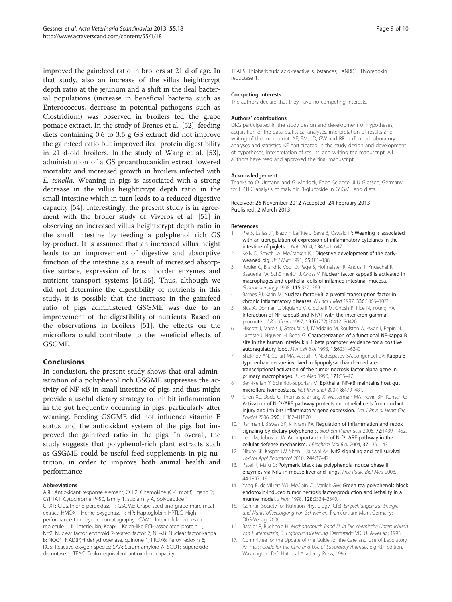<span id="page-8-0"></span>improved the gain:feed ratio in broilers at 21 d of age. In that study, also an increase of the villus height:crypt depth ratio at the jejunum and a shift in the ileal bacterial populations (increase in beneficial bacteria such as Enterococcus, decrease in potential pathogens such as Clostridium) was observed in broilers fed the grape pomace extract. In the study of Brenes et al. [\[52\]](#page-9-0), feeding diets containing 0.6 to 3.6 g GS extract did not improve the gain:feed ratio but improved ileal protein digestibility in 21 d-old broilers. In the study of Wang et al. [\[53](#page-9-0)], administration of a GS proanthocanidin extract lowered mortality and increased growth in broilers infected with E. tenella. Weaning in pigs is associated with a strong decrease in the villus height:crypt depth ratio in the small intestine which in turn leads to a reduced digestive capacity [[54\]](#page-9-0). Interestingly, the present study is in agreement with the broiler study of Viveros et al. [\[51](#page-9-0)] in observing an increased villus height:crypt depth ratio in the small intestine by feeding a polyphenol rich GS by-product. It is assumed that an increased villus height leads to an improvement of digestive and absorptive function of the intestine as a result of increased absorptive surface, expression of brush border enzymes and nutrient transport systems [[54](#page-9-0),[55](#page-9-0)]. Thus, although we did not determine the digestibility of nutrients in this study, it is possible that the increase in the gain:feed ratio of pigs administered GSGME was due to an improvement of the digestibility of nutrients. Based on the observations in broilers [[51\]](#page-9-0), the effects on the microflora could contribute to the beneficial effects of GSGME.

#### Conclusions

In conclusion, the present study shows that oral administration of a polyphenol rich GSGME suppresses the activity of NF-κB in small intestine of pigs and thus might provide a useful dietary strategy to inhibit inflammation in the gut frequently occurring in pigs, particularly after weaning. Feeding GSGME did not influence vitamin E status and the antioxidant system of the pigs but improved the gain:feed ratio in the pigs. In overall, the study suggests that polyphenol-rich plant extracts such as GSGME could be useful feed supplements in pig nutrition, in order to improve both animal health and performance.

#### Abbreviations

ARE: Antioxidant response element; CCL2: Chemokine (C-C motif) ligand 2; CYP1A1: Cytochrome P450, family 1, subfamily A, polypeptide 1; GPX1: Glutathione peroxidase 1; GSGME: Grape seed and grape marc meal extract; HMOX1: Heme oxygenase 1; HP: Haptoglobin; HPTLC: Highperformance thin layer chromatography; ICAM1: Intercellular adhesion molecule 1; IL: Interleukin; Keap-1: Kelch-like ECH-associated protein 1; Nrf2: Nuclear factor erythroid 2-related factor 2; NF-κB: Nuclear factor kappa B; NQO1: NAD(P)H dehydrogenase, quinone 1; PRDX6: Peroxiredoxin 6; ROS: Reactive oxygen species; SAA: Serum amyloid A; SOD1: Superoxide dismutase 1; TEAC: Trolox equivalent antioxidant capacity;

TBARS: Thiobarbituric acid-reactive substances; TXNRD1: Thioredoxin reductase 1.

#### Competing interests

The authors declare that they have no competing interests.

#### Authors' contributions

DKG participated in the study design and development of hypotheses. acquisition of the data, statistical analyses, interpretation of results and writing of the manuscript. AF, EM, JD, GW and RR performed laboratory analyses and statistics. KE participated in the study design and development of hypotheses, interpretation of results, and writing the manuscript. All authors have read and approved the final manuscript.

#### Acknowledgement

Thanks to O. Urmann and G. Morlock, Food Science, JLU Giessen, Germany, for HPTLC analysis of malvidin 3-glucoside in GSGME and diets.

#### Received: 26 November 2012 Accepted: 24 February 2013 Published: 2 March 2013

#### References

- 1. Pié S, Lallès JP, Blazy F, Laffitte J, Sève B, Oswald IP: Weaning is associated with an upregulation of expression of inflammatory cytokines in the intestine of piglets. J Nutr 2004, 134:641–647.
- 2. Kelly D, Smyth JA, McCracken KJ: Digestive development of the earlyweaned pig. Br J Nutr 1991, 65:181–188.
- 3. Rogler G, Brand K, Vogl D, Page S, Hofmeister R, Andus T, Knuechel R, Baeuerle PA, Schölmerich J, Gross V: Nuclear factor kappaB is activated in macrophages and epithelial cells of inflamed intestinal mucosa. Gastroenterology 1998, 115:357–369.
- 4. Barnes PJ, Karin M: Nuclear factor-κB: a pivotal transcription factor in chronic inflammatory diseases. N Engl J Med 1997, 336:1066–1071.
- 5. Sica A, Dorman L, Viggiano V, Cippitelli M, Ghosh P, Rice N, Young HA: Interaction of NF-kappaB and NFAT with the interferon-gamma promoter. J Biol Chem 1997, 1997(272):30412–30420.
- 6. Hiscott J, Marois J, Garoufalis J, D'Addario M, Roulston A, Kwan I, Pepin N, Lacoste J, Nguyen H, Bensi G: Characterization of a functional NF-kappa B site in the human interleukin 1 beta promoter: evidence for a positive autoregulatory loop. Mol Cell Biol 1993, 13:6231–6240.
- 7. Shakhov AN, Collart MA, Vassalli P, Nedospasov SA, Jongeneel CV: Kappa Btype enhancers are involved in lipopolysaccharide-mediated transcriptional activation of the tumor necrosis factor alpha gene in primary macrophages. J Exp Med 1990, 171:35-47.
- 8. Ben-Neriah Y, Schmidt-Supprian M: Epithelial NF-κB maintains host gut microflora homeostasis. Nat Immunol 2007, 8:479–481.
- 9. Chen XL, Dodd G, Thomas S, Zhang X, Wasserman MA, Rovin BH, Kunsch C: Activation of Nrf2/ARE pathway protects endothelial cells from oxidant injury and inhibits inflammatory gene expression. Am J Physiol Heart Circ Physiol 2006, 290:H1862–H1870.
- 10. Rahman I, Biswas SK, Kirkham PA: Regulation of inflammation and redox signaling by dietary polyphenols. Biochem Pharmacol 2006, 72:1439-1452.
- 11. Lee JM, Johnson JA: An important role of Nrf2-ARE pathway in the cellular defense mechanism. J Biochem Mol Biol 2004, 37:139-143.
- 12. Niture SK, Kaspar JW, Shen J, Jaiswal AK: Nrf2 signaling and cell survival. Toxicol Appl Pharmacol 2010, 244:37–42.
- 13. Patel R, Maru G: Polymeric black tea polyphenols induce phase II enzymes via Nrf2 in mouse liver and lungs. Free Radic Biol Med 2008, 44:1897–1911.
- 14. Yang F, de Villiers WJ, McClain CJ, Varilek GW: Green tea polyphenols block endotoxin-induced tumor necrosis factor-production and lethality in a murine model. J Nutr 1998, 128:2334–2340.
- 15. German Society for Nutrition Physiology (GfE): Empfehlungen zur Energieund Nährstoffversorgung von Schweinen. Frankfurt am Main, Germany: DLG-Verlag; 2006.
- 16. Bassler R, Buchholz H: Methodenbuch Band III. In Die chemische Untersuchung von Futtermitteln, 3. Ergänzungslieferung. Darmstadt: VDLUFA-Verlag; 1993.
- 17. Committee for the Update of the Guide for the Care and Use of Laboratory Animals: Guide for the Care and Use of Laboratory Animals. eightth edition. Washington, D.C: National Academy Press; 1996.